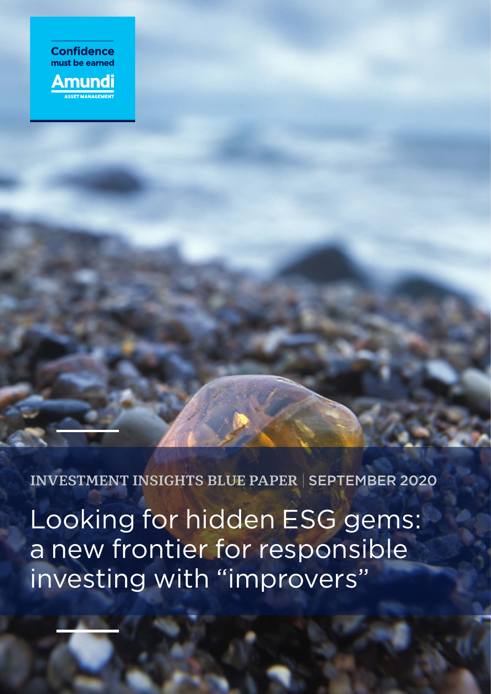

**INVESTMENT INSIGHTS BLUE PAPER** | SEPTEMBER 2020

Looking for hidden ESG gems: a new frontier for responsible investing with "improvers"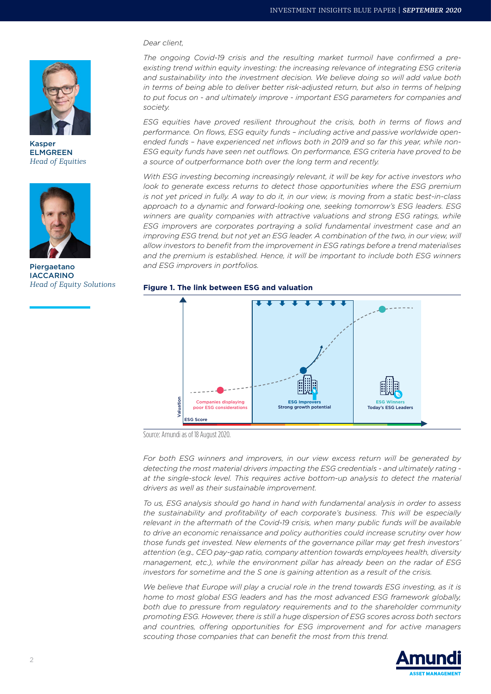

Kasper ELMGREEN *Head of Equities*



Piergaetano IACCARINO *Head of Equity Solutions*

#### *Dear client,*

*The ongoing Covid-19 crisis and the resulting market turmoil have confirmed a preexisting trend within equity investing: the increasing relevance of integrating ESG criteria and sustainability into the investment decision. We believe doing so will add value both in terms of being able to deliver better risk-adjusted return, but also in terms of helping to put focus on - and ultimately improve - important ESG parameters for companies and society.* 

*ESG equities have proved resilient throughout the crisis, both in terms of flows and performance. On flows, ESG equity funds – including active and passive worldwide openended funds* – *have experienced net inflows both in 2019 and so far this year, while non-ESG equity funds have seen net outflows. On performance, ESG criteria have proved to be a source of outperformance both over the long term and recently.* 

*With ESG investing becoming increasingly relevant, it will be key for active investors who look to generate excess returns to detect those opportunities where the ESG premium is not yet priced in fully. A way to do it, in our view, is moving from a static best-in-class approach to a dynamic and forward-looking one, seeking tomorrow's ESG leaders. ESG winners are quality companies with attractive valuations and strong ESG ratings, while ESG improvers are corporates portraying a solid fundamental investment case and an improving ESG trend, but not yet an ESG leader. A combination of the two, in our view, will allow investors to benefit from the improvement in ESG ratings before a trend materialises*  and the premium is established. Hence, it will be important to include both ESG winners *and ESG improvers in portfolios.*





Source: Amundi as of 18 August 2020.

*For both ESG winners and improvers, in our view excess return will be generated by detecting the most material drivers impacting the ESG credentials - and ultimately rating at the single-stock level. This requires active bottom-up analysis to detect the material drivers as well as their sustainable improvement.* 

*To us, ESG analysis should go hand in hand with fundamental analysis in order to assess the sustainability and profitability of each corporate's business. This will be especially*  relevant in the aftermath of the Covid-19 crisis, when many public funds will be available *to drive an economic renaissance and policy authorities could increase scrutiny over how those funds get invested. New elements of the governance pillar may get fresh investors' attention (e.g., CEO pay-gap ratio, company attention towards employees health, diversity management, etc.), while the environment pillar has already been on the radar of ESG investors for sometime and the S one is gaining attention as a result of the crisis.* 

*We believe that Europe will play a crucial role in the trend towards ESG investing, as it is home to most global ESG leaders and has the most advanced ESG framework globally, both due to pressure from regulatory requirements and to the shareholder community promoting ESG. However, there is still a huge dispersion of ESG scores across both sectors and countries, offering opportunities for ESG improvement and for active managers scouting those companies that can benefit the most from this trend.*

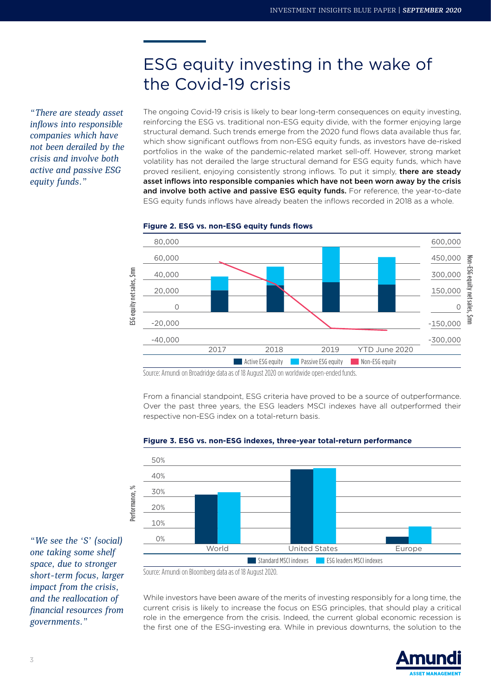# ESG equity investing in the wake of the Covid-19 crisis

*"There are steady asset inflows into responsible companies which have not been derailed by the crisis and involve both active and passive ESG equity funds."*

The ongoing Covid-19 crisis is likely to bear long-term consequences on equity investing, reinforcing the ESG vs. traditional non-ESG equity divide, with the former enjoying large structural demand. Such trends emerge from the 2020 fund flows data available thus far, which show significant outflows from non-ESG equity funds, as investors have de-risked portfolios in the wake of the pandemic-related market sell-off. However, strong market volatility has not derailed the large structural demand for ESG equity funds, which have proved resilient, enjoying consistently strong inflows. To put it simply, there are steady asset inflows into responsible companies which have not been worn away by the crisis and involve both active and passive ESG equity funds. For reference, the year-to-date ESG equity funds inflows have already beaten the inflows recorded in 2018 as a whole.



#### **Figure 2. ESG vs. non-ESG equity funds flows**

Source: Amundi on Broadridge data as of 18 August 2020 on worldwide open-ended funds.

From a financial standpoint, ESG criteria have proved to be a source of outperformance. Over the past three years, the ESG leaders MSCI indexes have all outperformed their respective non-ESG index on a total-return basis.



#### **Figure 3. ESG vs. non-ESG indexes, three-year total-return performance**

Source: Amundi on Bloomberg data as of 18 August 2020.

While investors have been aware of the merits of investing responsibly for a long time, the current crisis is likely to increase the focus on ESG principles, that should play a critical role in the emergence from the crisis. Indeed, the current global economic recession is the first one of the ESG-investing era. While in previous downturns, the solution to the



*"We see the 'S' (social) one taking some shelf space, due to stronger short-term focus, larger impact from the crisis, and the reallocation of financial resources from governments."*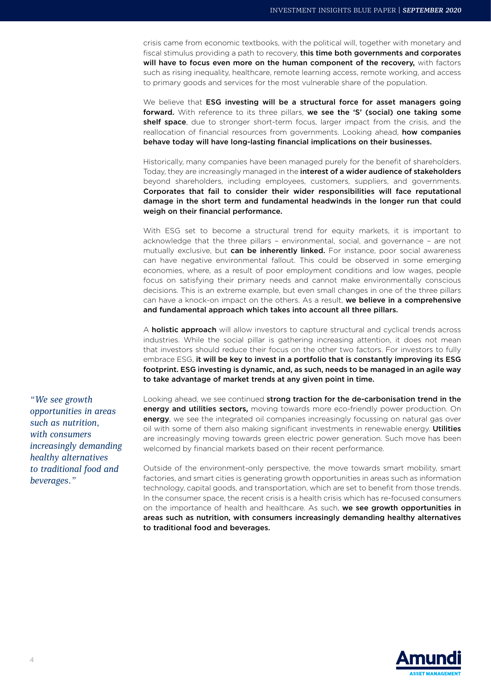crisis came from economic textbooks, with the political will, together with monetary and fiscal stimulus providing a path to recovery, this time both governments and corporates will have to focus even more on the human component of the recovery, with factors such as rising inequality, healthcare, remote learning access, remote working, and access to primary goods and services for the most vulnerable share of the population.

We believe that ESG investing will be a structural force for asset managers going forward. With reference to its three pillars, we see the 'S' (social) one taking some shelf space, due to stronger short-term focus, larger impact from the crisis, and the reallocation of financial resources from governments. Looking ahead, **how companies** behave today will have long-lasting financial implications on their businesses.

Historically, many companies have been managed purely for the benefit of shareholders. Today, they are increasingly managed in the interest of a wider audience of stakeholders beyond shareholders, including employees, customers, suppliers, and governments. Corporates that fail to consider their wider responsibilities will face reputational damage in the short term and fundamental headwinds in the longer run that could weigh on their financial performance.

With ESG set to become a structural trend for equity markets, it is important to acknowledge that the three pillars – environmental, social, and governance – are not mutually exclusive, but can be inherently linked. For instance, poor social awareness can have negative environmental fallout. This could be observed in some emerging economies, where, as a result of poor employment conditions and low wages, people focus on satisfying their primary needs and cannot make environmentally conscious decisions. This is an extreme example, but even small changes in one of the three pillars can have a knock-on impact on the others. As a result, we believe in a comprehensive and fundamental approach which takes into account all three pillars.

A **holistic approach** will allow investors to capture structural and cyclical trends across industries. While the social pillar is gathering increasing attention, it does not mean that investors should reduce their focus on the other two factors. For investors to fully embrace ESG, it will be key to invest in a portfolio that is constantly improving its ESG footprint. ESG investing is dynamic, and, as such, needs to be managed in an agile way to take advantage of market trends at any given point in time.

Looking ahead, we see continued strong traction for the de-carbonisation trend in the energy and utilities sectors, moving towards more eco-friendly power production. On energy, we see the integrated oil companies increasingly focussing on natural gas over oil with some of them also making significant investments in renewable energy. Utilities are increasingly moving towards green electric power generation. Such move has been welcomed by financial markets based on their recent performance.

Outside of the environment-only perspective, the move towards smart mobility, smart factories, and smart cities is generating growth opportunities in areas such as information technology, capital goods, and transportation, which are set to benefit from those trends. In the consumer space, the recent crisis is a health crisis which has re-focused consumers on the importance of health and healthcare. As such, we see growth opportunities in areas such as nutrition, with consumers increasingly demanding healthy alternatives to traditional food and beverages.



*"We see growth opportunities in areas such as nutrition, with consumers increasingly demanding healthy alternatives to traditional food and beverages."*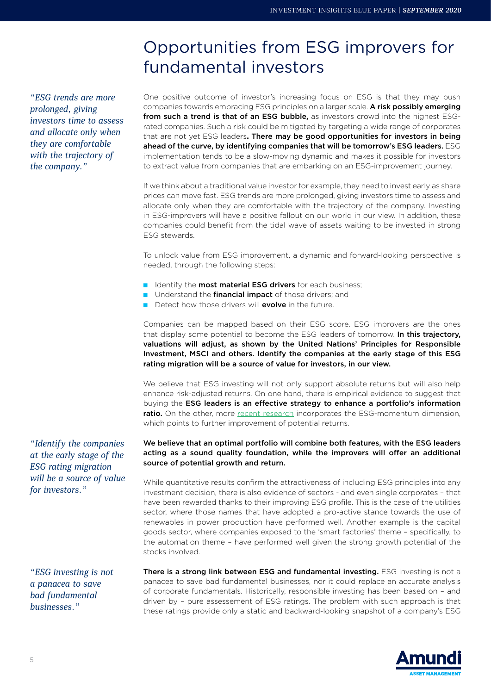# Opportunities from ESG improvers for fundamental investors

*"ESG trends are more prolonged, giving investors time to assess and allocate only when they are comfortable with the trajectory of the company."*

One positive outcome of investor's increasing focus on ESG is that they may push companies towards embracing ESG principles on a larger scale. A risk possibly emerging from such a trend is that of an ESG bubble, as investors crowd into the highest ESGrated companies. Such a risk could be mitigated by targeting a wide range of corporates that are not yet ESG leaders**.** There may be good opportunities for investors in being ahead of the curve, by identifying companies that will be tomorrow's ESG leaders. ESG implementation tends to be a slow-moving dynamic and makes it possible for investors to extract value from companies that are embarking on an ESG-improvement journey.

If we think about a traditional value investor for example, they need to invest early as share prices can move fast. ESG trends are more prolonged, giving investors time to assess and allocate only when they are comfortable with the trajectory of the company. Investing in ESG-improvers will have a positive fallout on our world in our view. In addition, these companies could benefit from the tidal wave of assets waiting to be invested in strong ESG stewards.

To unlock value from ESG improvement, a dynamic and forward-looking perspective is needed, through the following steps:

- Identify the **most material ESG drivers** for each business;
- Understand the **financial impact** of those drivers; and
- Detect how those drivers will **evolve** in the future.

Companies can be mapped based on their ESG score. ESG improvers are the ones that display some potential to become the ESG leaders of tomorrow. In this trajectory, valuations will adjust, as shown by the United Nations' Principles for Responsible Investment, MSCI and others. Identify the companies at the early stage of this ESG rating migration will be a source of value for investors, in our view.

We believe that ESG investing will not only support absolute returns but will also help enhance risk-adjusted returns. On one hand, there is empirical evidence to suggest that buying the ESG leaders is an effective strategy to enhance a portfolio's information ratio. On the other, more [recent research](https://www.msci.com/documents/10199/f3f252a7-0dbd-035b-e67c-964a87fbcd03) incorporates the ESG-momentum dimension, which points to further improvement of potential returns.

#### We believe that an optimal portfolio will combine both features, with the ESG leaders acting as a sound quality foundation, while the improvers will offer an additional source of potential growth and return.

While quantitative results confirm the attractiveness of including ESG principles into any investment decision, there is also evidence of sectors - and even single corporates – that have been rewarded thanks to their improving ESG profile. This is the case of the utilities sector, where those names that have adopted a pro-active stance towards the use of renewables in power production have performed well. Another example is the capital goods sector, where companies exposed to the 'smart factories' theme – specifically, to the automation theme – have performed well given the strong growth potential of the stocks involved.

*"ESG investing is not a panacea to save bad fundamental businesses."*

*"Identify the companies at the early stage of the ESG rating migration will be a source of value* 

*for investors."*

There is a strong link between ESG and fundamental investing. ESG investing is not a panacea to save bad fundamental businesses, nor it could replace an accurate analysis of corporate fundamentals. Historically, responsible investing has been based on – and driven by – pure assessement of ESG ratings. The problem with such approach is that these ratings provide only a static and backward-looking snapshot of a company's ESG

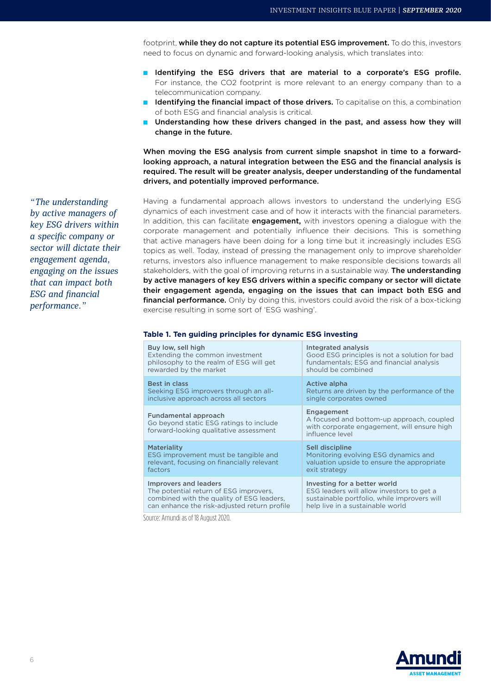footprint, while they do not capture its potential ESG improvement. To do this, investors need to focus on dynamic and forward-looking analysis, which translates into:

- Identifying the ESG drivers that are material to a corporate's ESG profile. For instance, the CO2 footprint is more relevant to an energy company than to a telecommunication company.
- Identifying the financial impact of those drivers. To capitalise on this, a combination of both ESG and financial analysis is critical.
- Understanding how these drivers changed in the past, and assess how they will change in the future.

When moving the ESG analysis from current simple snapshot in time to a forwardlooking approach, a natural integration between the ESG and the financial analysis is required. The result will be greater analysis, deeper understanding of the fundamental drivers, and potentially improved performance.

Having a fundamental approach allows investors to understand the underlying ESG dynamics of each investment case and of how it interacts with the financial parameters. In addition, this can facilitate *engagement*, with investors opening a dialogue with the corporate management and potentially influence their decisions. This is something that active managers have been doing for a long time but it increasingly includes ESG topics as well. Today, instead of pressing the management only to improve shareholder returns, investors also influence management to make responsible decisions towards all stakeholders, with the goal of improving returns in a sustainable way. The understanding by active managers of key ESG drivers within a specific company or sector will dictate their engagement agenda, engaging on the issues that can impact both ESG and financial performance. Only by doing this, investors could avoid the risk of a box-ticking exercise resulting in some sort of 'ESG washing'.

#### **Table 1. Ten guiding principles for dynamic ESG investing**

| Buy low, sell high                                                                                        | Integrated analysis                                                                                                       |
|-----------------------------------------------------------------------------------------------------------|---------------------------------------------------------------------------------------------------------------------------|
| Extending the common investment                                                                           | Good ESG principles is not a solution for bad                                                                             |
| philosophy to the realm of ESG will get                                                                   | fundamentals; ESG and financial analysis                                                                                  |
| rewarded by the market                                                                                    | should be combined                                                                                                        |
| <b>Best in class</b>                                                                                      | <b>Active alpha</b>                                                                                                       |
| Seeking ESG improvers through an all-                                                                     | Returns are driven by the performance of the                                                                              |
| inclusive approach across all sectors                                                                     | single corporates owned                                                                                                   |
| Fundamental approach<br>Go beyond static ESG ratings to include<br>forward-looking qualitative assessment | Engagement<br>A focused and bottom-up approach, coupled<br>with corporate engagement, will ensure high<br>influence level |
| <b>Materiality</b>                                                                                        | Sell discipline                                                                                                           |
| ESG improvement must be tangible and                                                                      | Monitoring evolving ESG dynamics and                                                                                      |
| relevant, focusing on financially relevant                                                                | valuation upside to ensure the appropriate                                                                                |
| factors                                                                                                   | exit strategy                                                                                                             |
| <b>Improvers and leaders</b>                                                                              | Investing for a better world                                                                                              |
| The potential return of ESG improvers,                                                                    | ESG leaders will allow investors to get a                                                                                 |
| combined with the quality of ESG leaders,                                                                 | sustainable portfolio, while improvers will                                                                               |
| can enhance the risk-adjusted return profile                                                              | help live in a sustainable world                                                                                          |

Source: Amundi as of 18 August 2020.

*"The understanding by active managers of key ESG drivers within a specific company or sector will dictate their engagement agenda, engaging on the issues that can impact both ESG and financial performance."*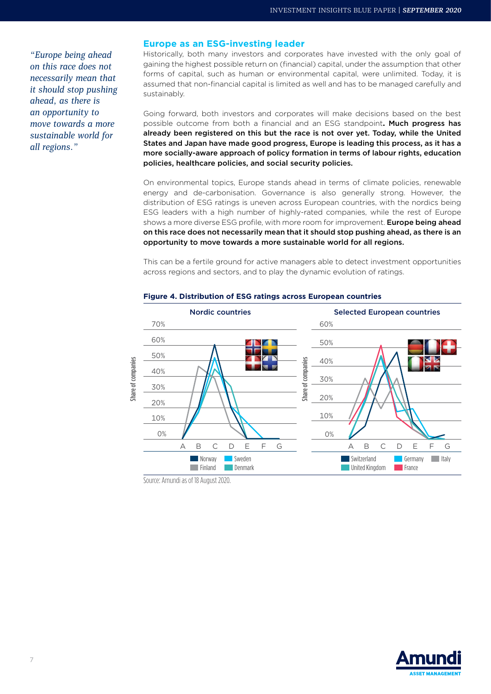*"Europe being ahead on this race does not necessarily mean that it should stop pushing ahead, as there is an opportunity to move towards a more sustainable world for all regions."*

#### **Europe as an ESG-investing leader**

Historically, both many investors and corporates have invested with the only goal of gaining the highest possible return on (financial) capital, under the assumption that other forms of capital, such as human or environmental capital, were unlimited. Today, it is assumed that non-financial capital is limited as well and has to be managed carefully and sustainably.

Going forward, both investors and corporates will make decisions based on the best possible outcome from both a financial and an ESG standpoint**.** Much progress has already been registered on this but the race is not over yet. Today, while the United States and Japan have made good progress, Europe is leading this process, as it has a more socially-aware approach of policy formation in terms of labour rights, education policies, healthcare policies, and social security policies.

On environmental topics, Europe stands ahead in terms of climate policies, renewable energy and de-carbonisation. Governance is also generally strong. However, the distribution of ESG ratings is uneven across European countries, with the nordics being ESG leaders with a high number of highly-rated companies, while the rest of Europe shows a more diverse ESG profile, with more room for improvement. Europe being ahead on this race does not necessarily mean that it should stop pushing ahead, as there is an opportunity to move towards a more sustainable world for all regions.

This can be a fertile ground for active managers able to detect investment opportunities across regions and sectors, and to play the dynamic evolution of ratings.



#### **Figure 4. Distribution of ESG ratings across European countries**

Source: Amundi as of 18 August 2020.

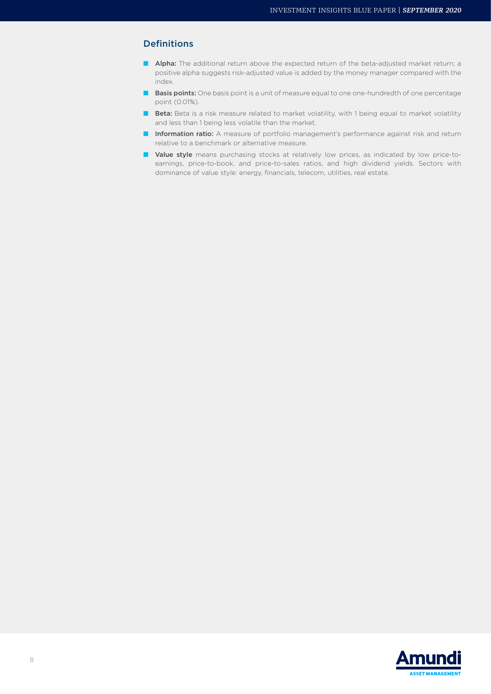### Definitions

- Alpha: The additional return above the expected return of the beta-adjusted market return; a positive alpha suggests risk-adjusted value is added by the money manager compared with the index.
- Basis points: One basis point is a unit of measure equal to one one-hundredth of one percentage point (0.01%).
- Beta: Beta is a risk measure related to market volatility, with 1 being equal to market volatility and less than 1 being less volatile than the market.
- Information ratio: A measure of portfolio management's performance against risk and return relative to a benchmark or alternative measure.
- Value style means purchasing stocks at relatively low prices, as indicated by low price-toearnings, price-to-book, and price-to-sales ratios, and high dividend yields. Sectors with dominance of value style: energy, financials, telecom, utilities, real estate.

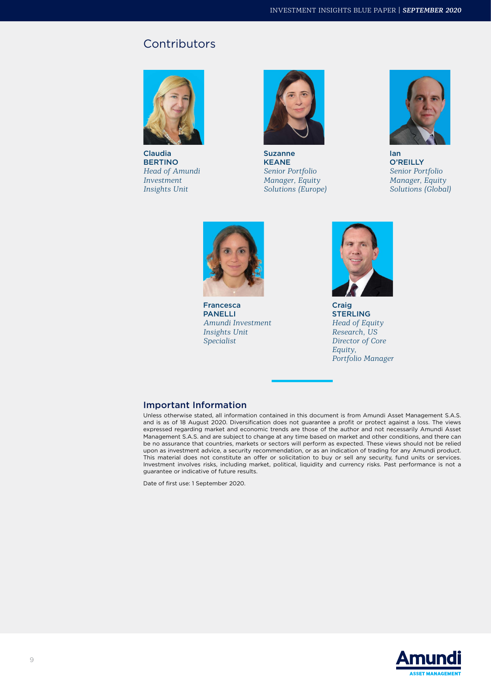## **Contributors**



Claudia **BERTINO** *Head of Amundi Investment Insights Unit*



Suzanne KEANE *Senior Portfolio Manager, Equity Solutions (Europe)*



Ian O'REILLY *Senior Portfolio Manager, Equity Solutions (Global)*



Francesca PANELLI *Amundi Investment Insights Unit Specialist* 



Craig STERLING *Head of Equity Research, US Director of Core Equity, Portfolio Manager*

#### Important Information

Unless otherwise stated, all information contained in this document is from Amundi Asset Management S.A.S. and is as of 18 August 2020. Diversification does not guarantee a profit or protect against a loss. The views expressed regarding market and economic trends are those of the author and not necessarily Amundi Asset Management S.A.S. and are subject to change at any time based on market and other conditions, and there can be no assurance that countries, markets or sectors will perform as expected. These views should not be relied upon as investment advice, a security recommendation, or as an indication of trading for any Amundi product. This material does not constitute an offer or solicitation to buy or sell any security, fund units or services. Investment involves risks, including market, political, liquidity and currency risks. Past performance is not a guarantee or indicative of future results.

Date of first use: 1 September 2020.